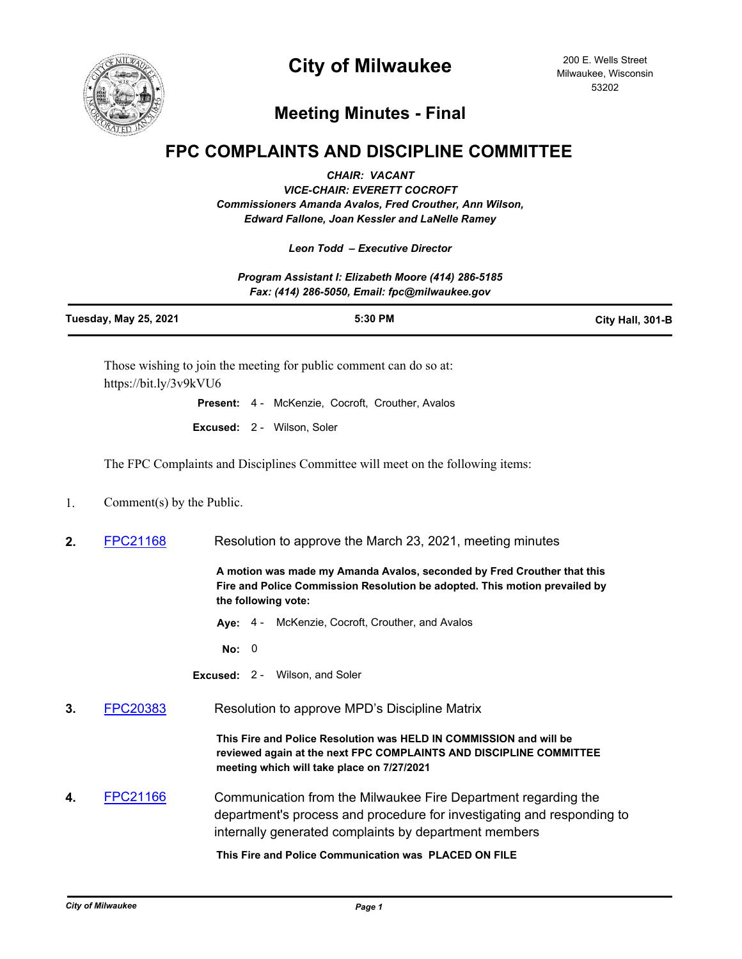

# **City of Milwaukee**

200 E. Wells Street Milwaukee, Wisconsin 53202

## **Meeting Minutes - Final**

### **FPC COMPLAINTS AND DISCIPLINE COMMITTEE**

*CHAIR: VACANT*

*VICE-CHAIR: EVERETT COCROFT Commissioners Amanda Avalos, Fred Crouther, Ann Wilson, Edward Fallone, Joan Kessler and LaNelle Ramey*

#### *Leon Todd – Executive Director*

*Program Assistant I: Elizabeth Moore (414) 286-5185 Fax: (414) 286-5050, Email: fpc@milwaukee.gov*

| Tuesday, May 25, 2021                                            | 5:30 PM | City Hall, 301-B |
|------------------------------------------------------------------|---------|------------------|
| These wishing to join the meeting for while comment can do so at |         |                  |

Those wishing to join the meeting for public comment can do so at: https://bit.ly/3v9kVU6

**Present:** 4 - McKenzie, Cocroft, Crouther, Avalos

**Excused:** 2 - Wilson, Soler

The FPC Complaints and Disciplines Committee will meet on the following items:

1. Comment(s) by the Public.

**2.** [FPC21168](http://milwaukee.legistar.com/gateway.aspx?m=l&id=/matter.aspx?key=57212) Resolution to approve the March 23, 2021, meeting minutes

**A motion was made my Amanda Avalos, seconded by Fred Crouther that this Fire and Police Commission Resolution be adopted. This motion prevailed by the following vote:**

**Aye:** 4 - McKenzie, Cocroft, Crouther, and Avalos

**No:** 0

**Excused:** 2 - Wilson, and Soler

**3.** [FPC20383](http://milwaukee.legistar.com/gateway.aspx?m=l&id=/matter.aspx?key=55732) Resolution to approve MPD's Discipline Matrix

**This Fire and Police Resolution was HELD IN COMMISSION and will be reviewed again at the next FPC COMPLAINTS AND DISCIPLINE COMMITTEE meeting which will take place on 7/27/2021**

**4.** [FPC21166](http://milwaukee.legistar.com/gateway.aspx?m=l&id=/matter.aspx?key=57208) Communication from the Milwaukee Fire Department regarding the department's process and procedure for investigating and responding to internally generated complaints by department members

**This Fire and Police Communication was PLACED ON FILE**